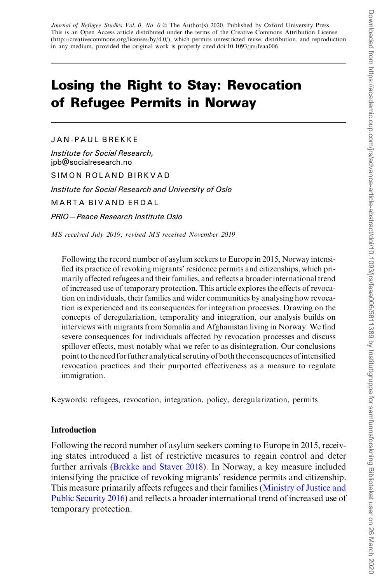Journal of Refugee Studies Vol. 0, No. 0  $\heartsuit$  The Author(s) 2020. Published by Oxford University Press. This is an Open Access article distributed under the terms of the Creative Commons Attribution License (http://creativecommons.org/licenses/by/4.0/), which permits unrestricted reuse, distribution, and reproduction in any medium, provided the original work is properly cited.doi:10.1093/jrs/feaa006

# Losing the Right to Stay: Revocation of Refugee Permits in Norway

JAN-PAUL BREKKE

Institute for Social Research, jpb@socialresearch.no

SIMON ROLAND BIRKVAD

Institute for Social Research and University of Oslo

MARTA BIVAND ERDAL

PRIO—Peace Research Institute Oslo

MS received July 2019; revised MS received November 2019

Following the record number of asylum seekers to Europe in 2015, Norway intensified its practice of revoking migrants' residence permits and citizenships, which primarily affected refugees and their families, and reflects a broader international trend of increased use of temporary protection. This article explores the effects of revocation on individuals, their families and wider communities by analysing how revocation is experienced and its consequences for integration processes. Drawing on the concepts of deregulariation, temporality and integration, our analysis builds on interviews with migrants from Somalia and Afghanistan living in Norway. We find severe consequences for individuals affected by revocation processes and discuss spillover effects, most notably what we refer to as disintegration. Our conclusions point to the need for futher analytical scrutiny of both the consequences ofintensified revocation practices and their purported effectiveness as a measure to regulate immigration.

Keywords: refugees, revocation, integration, policy, deregularization, permits

## Introduction

Following the record number of asylum seekers coming to Europe in 2015, receiving states introduced a list of restrictive measures to regain control and deter further arrivals ([Brekke and Staver 2018](#page-17-0)). In Norway, a key measure included intensifying the practice of revoking migrants' residence permits and citizenship. This measure primarily affects refugees and their families ([Ministry of Justice and](#page-19-0) [Public Security 2016\)](#page-19-0) and reflects a broader international trend of increased use of temporary protection.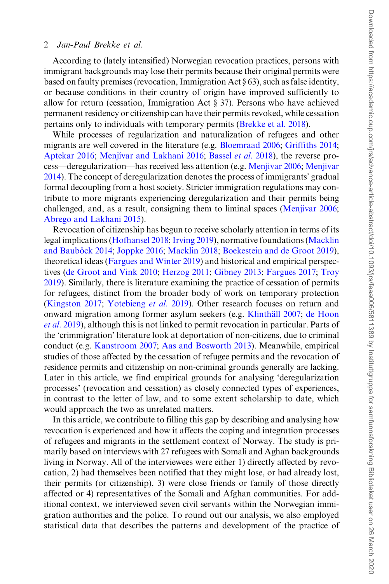According to (lately intensified) Norwegian revocation practices, persons with immigrant backgrounds may lose their permits because their original permits were based on faulty premises (revocation, Immigration Act § 63), such as false identity, or because conditions in their country of origin have improved sufficiently to allow for return (cessation, Immigration Act § 37). Persons who have achieved permanent residency or citizenship can have their permits revoked, while cessation pertains only to individuals with temporary permits [\(Brekke et al. 2018\)](#page-17-0).

While processes of regularization and naturalization of refugees and other migrants are well covered in the literature (e.g. [Bloemraad 2006;](#page-17-0) [Griffiths 2014](#page-18-0); [Aptekar 2016](#page-17-0); Menjivar and Lakhani 2016; [Bassel](#page-17-0) et al. 2018), the reverse process—deregularization—has received less attention (e.g. [Menjivar 2006;](#page-18-0) [Menjivar](#page-19-0) [2014\)](#page-19-0). The concept of deregularization denotes the process of immigrants' gradual formal decoupling from a host society. Stricter immigration regulations may contribute to more migrants experiencing deregularization and their permits being challenged, and, as a result, consigning them to liminal spaces ([Menjivar 2006](#page-18-0); [Abrego and Lakhani 2015](#page-16-0)).

Revocation of citizenship has begun to receive scholarly attention in terms of its legal implications [\(Hofhansel 2018;Irving 2019](#page-18-0)), normative foundations ([Macklin](#page-18-0) and Bauböck 2014; [Joppke 2016;](#page-18-0) [Macklin 2018](#page-18-0); [Boekestein and de Groot 2019\)](#page-17-0), theoretical ideas ([Fargues and Winter 2019\)](#page-17-0) and historical and empirical perspectives [\(de Groot and Vink 2010;](#page-17-0) [Herzog 2011](#page-18-0); [Gibney 2013](#page-18-0); [Fargues 2017](#page-17-0); [Troy](#page-19-0) [2019\)](#page-19-0). Similarly, there is literature examining the practice of cessation of permits for refugees, distinct from the broader body of work on temporary protection [\(Kingston 2017;](#page-18-0) [Yotebieng](#page-19-0) et al. 2019). Other research focuses on return and onward migration among former asylum seekers (e.g. [Klintha¨ll 2007](#page-18-0); [de Hoon](#page-17-0) et al[. 2019\)](#page-17-0), although this is not linked to permit revocation in particular. Parts of the 'crimmigration' literature look at deportation of non-citizens, due to criminal conduct (e.g. [Kanstroom 2007](#page-18-0); [Aas and Bosworth 2013\)](#page-16-0). Meanwhile, empirical studies of those affected by the cessation of refugee permits and the revocation of residence permits and citizenship on non-criminal grounds generally are lacking. Later in this article, we find empirical grounds for analysing 'deregularization processes' (revocation and cessation) as closely connected types of experiences, in contrast to the letter of law, and to some extent scholarship to date, which would approach the two as unrelated matters.

In this article, we contribute to filling this gap by describing and analysing how revocation is experienced and how it affects the coping and integration processes of refugees and migrants in the settlement context of Norway. The study is primarily based on interviews with 27 refugees with Somali and Aghan backgrounds living in Norway. All of the interviewees were either 1) directly affected by revocation, 2) had themselves been notified that they might lose, or had already lost, their permits (or citizenship), 3) were close friends or family of those directly affected or 4) representatives of the Somali and Afghan communities. For additional context, we interviewed seven civil servants within the Norwegian immigration authorities and the police. To round out our analysis, we also employed statistical data that describes the patterns and development of the practice of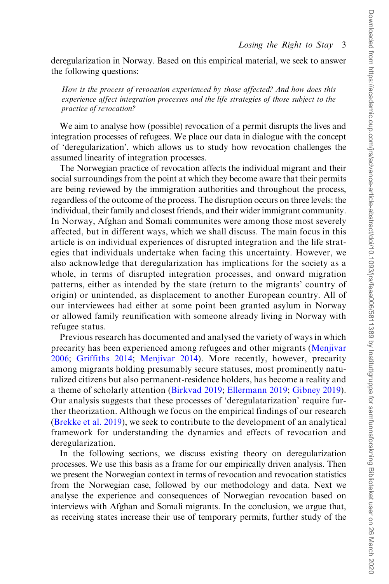deregularization in Norway. Based on this empirical material, we seek to answer the following questions:

How is the process of revocation experienced by those affected? And how does this experience affect integration processes and the life strategies of those subject to the practice of revocation?

We aim to analyse how (possible) revocation of a permit disrupts the lives and integration processes of refugees. We place our data in dialogue with the concept of 'deregularization', which allows us to study how revocation challenges the assumed linearity of integration processes.

The Norwegian practice of revocation affects the individual migrant and their social surroundings from the point at which they become aware that their permits are being reviewed by the immigration authorities and throughout the process, regardless of the outcome of the process. The disruption occurs on three levels: the individual, their family and closest friends, and their wider immigrant community. In Norway, Afghan and Somali communites were among those most severely affected, but in different ways, which we shall discuss. The main focus in this article is on individual experiences of disrupted integration and the life strategies that individuals undertake when facing this uncertainty. However, we also acknowledge that deregularization has implications for the society as a whole, in terms of disrupted integration processes, and onward migration patterns, either as intended by the state (return to the migrants' country of origin) or unintended, as displacement to another European country. All of our interviewees had either at some point been granted asylum in Norway or allowed family reunification with someone already living in Norway with refugee status.

Previous research has documented and analysed the variety of ways in which precarity has been experienced among refugees and other migrants [\(Menjivar](#page-18-0) [2006](#page-18-0); [Griffiths 2014;](#page-18-0) [Menjivar 2014](#page-19-0)). More recently, however, precarity among migrants holding presumably secure statuses, most prominently naturalized citizens but also permanent-residence holders, has become a reality and a theme of scholarly attention ([Birkvad 2019;](#page-17-0) [Ellermann 2019](#page-17-0); [Gibney 2019\)](#page-18-0). Our analysis suggests that these processes of 'deregulatarization' require further theorization. Although we focus on the empirical findings of our research [\(Brekke et al. 2019\)](#page-17-0), we seek to contribute to the development of an analytical framework for understanding the dynamics and effects of revocation and deregularization.

In the following sections, we discuss existing theory on deregularization processes. We use this basis as a frame for our empirically driven analysis. Then we present the Norwegian context in terms of revocation and revocation statistics from the Norwegian case, followed by our methodology and data. Next we analyse the experience and consequences of Norwegian revocation based on interviews with Afghan and Somali migrants. In the conclusion, we argue that, as receiving states increase their use of temporary permits, further study of the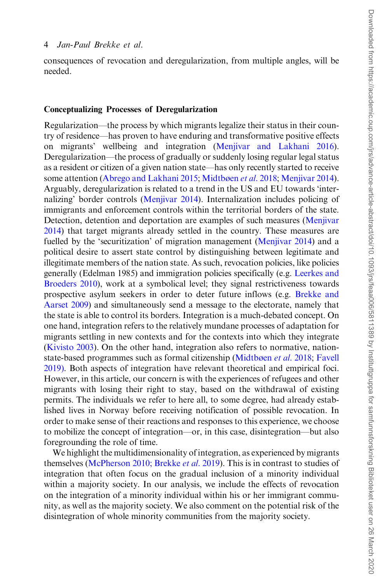consequences of revocation and deregularization, from multiple angles, will be needed.

## Conceptualizing Processes of Deregularization

Regularization—the process by which migrants legalize their status in their country of residence—has proven to have enduring and transformative positive effects on migrants' wellbeing and integration (Menjivar and Lakhani 2016). Deregularization—the process of gradually or suddenly losing regular legal status as a resident or citizen of a given nation state—has only recently started to receive some attention ([Abrego and Lakhani 2015](#page-16-0); [Midtb](#page-19-0)øen *[et al.](#page-19-0)* 2018; [Menjivar 2014\)](#page-19-0). Arguably, deregularization is related to a trend in the US and EU towards 'internalizing' border controls [\(Menjivar 2014](#page-19-0)). Internalization includes policing of immigrants and enforcement controls within the territorial borders of the state. Detection, detention and deportation are examples of such measures [\(Menjivar](#page-19-0) [2014\)](#page-19-0) that target migrants already settled in the country. These measures are fuelled by the 'securitization' of migration management [\(Menjivar 2014\)](#page-19-0) and a political desire to assert state control by distinguishing between legitimate and illegitimate members of the nation state. As such, revocation policies, like policies generally (Edelman 1985) and immigration policies specifically (e.g. [Leerkes and](#page-18-0) [Broeders 2010\)](#page-18-0), work at a symbolical level; they signal restrictiveness towards prospective asylum seekers in order to deter future inflows (e.g. [Brekke and](#page-17-0) [Aarset 2009](#page-17-0)) and simultaneously send a message to the electorate, namely that the state is able to control its borders. Integration is a much-debated concept. On one hand, integration refers to the relatively mundane processes of adaptation for migrants settling in new contexts and for the contexts into which they integrate [\(Kivisto 2003\)](#page-18-0). On the other hand, integration also refers to normative, nationstate-based programmes such as formal citizenship ([Midtb](#page-19-0)øen [et al.](#page-19-0) 2018; [Favell](#page-18-0) [2019\).](#page-18-0) Both aspects of integration have relevant theoretical and empirical foci. However, in this article, our concern is with the experiences of refugees and other migrants with losing their right to stay, based on the withdrawal of existing permits. The individuals we refer to here all, to some degree, had already established lives in Norway before receiving notification of possible revocation. In order to make sense of their reactions and responses to this experience, we choose to mobilize the concept of integration—or, in this case, disintegration—but also foregrounding the role of time.

We highlight the multidimensionality of integration, as experienced by migrants themselves [\(McPherson 2010;](#page-18-0) [Brekke](#page-17-0) et al. 2019). This is in contrast to studies of integration that often focus on the gradual inclusion of a minority individual within a majority society. In our analysis, we include the effects of revocation on the integration of a minority individual within his or her immigrant community, as well as the majority society. We also comment on the potential risk of the disintegration of whole minority communities from the majority society.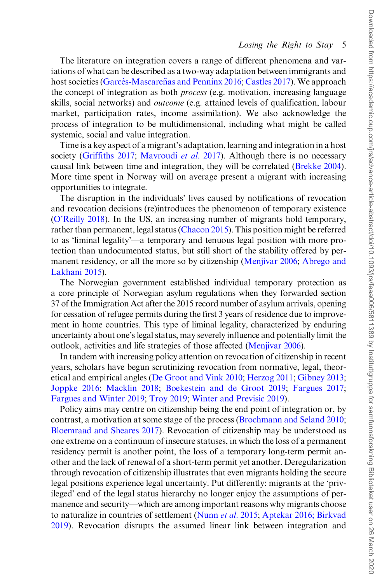The literature on integration covers a range of different phenomena and variations of what can be described as a two-way adaptation between immigrants and host societies (Garcés-Mascareñ[as and Penninx 2016](#page-18-0); [Castles 2017\)](#page-17-0). We approach the concept of integration as both process (e.g. motivation, increasing language skills, social networks) and outcome (e.g. attained levels of qualification, labour market, participation rates, income assimilation). We also acknowledge the process of integration to be multidimensional, including what might be called systemic, social and value integration.

Time is a key aspect of a migrant's adaptation, learning and integration in a host society ([Griffiths 2017](#page-18-0); [Mavroudi](#page-18-0) et al. 2017). Although there is no necessary causal link between time and integration, they will be correlated ([Brekke 2004](#page-17-0)). More time spent in Norway will on average present a migrant with increasing opportunities to integrate.

The disruption in the individuals' lives caused by notifications of revocation and revocation decisions (re)introduces the phenomenon of temporary existence [\(O'Reilly 2018](#page-19-0)). In the US, an increasing number of migrants hold temporary, rather than permanent, legal status ([Chacon 2015\)](#page-17-0). This position might be referred to as 'liminal legality'—a temporary and tenuous legal position with more protection than undocumented status, but still short of the stability offered by permanent residency, or all the more so by citizenship [\(Menjivar 2006](#page-18-0); [Abrego and](#page-16-0) [Lakhani 2015\)](#page-16-0).

The Norwegian government established individual temporary protection as a core principle of Norwegian asylum regulations when they forwarded section 37 of the Immigration Act after the 2015 record number of asylum arrivals, opening for cessation of refugee permits during the first 3 years of residence due to improvement in home countries. This type of liminal legality, characterized by enduring uncertainty about one's legal status, may severely influence and potentially limit the outlook, activities and life strategies of those affected [\(Menjivar 2006](#page-18-0)).

In tandem with increasing policy attention on revocation of citizenship in recent years, scholars have begun scrutinizing revocation from normative, legal, theoretical and empirical angles ([De Groot and Vink 2010](#page-17-0); [Herzog 2011;](#page-18-0) [Gibney 2013](#page-18-0); [Joppke 2016;](#page-18-0) [Macklin 2018;](#page-18-0) [Boekestein and de Groot 2019](#page-17-0); [Fargues 2017](#page-17-0); [Fargues and Winter 2019](#page-17-0); [Troy 2019;](#page-19-0) [Winter and Previsic 2019](#page-19-0)).

Policy aims may centre on citizenship being the end point of integration or, by contrast, a motivation at some stage of the process ([Brochmann and Seland 2010](#page-17-0); [Bloemraad and Sheares 2017\)](#page-17-0). Revocation of citizenship may be understood as one extreme on a continuum of insecure statuses, in which the loss of a permanent residency permit is another point, the loss of a temporary long-term permit another and the lack of renewal of a short-term permit yet another. Deregularization through revocation of citizenship illustrates that even migrants holding the secure legal positions experience legal uncertainty. Put differently: migrants at the 'privileged' end of the legal status hierarchy no longer enjoy the assumptions of permanence and security—which are among important reasons why migrants choose to naturalize in countries of settlement (Nunn *et al.* 2015; [Aptekar 2016; Birkvad](#page-17-0) [2019\)](#page-17-0). Revocation disrupts the assumed linear link between integration and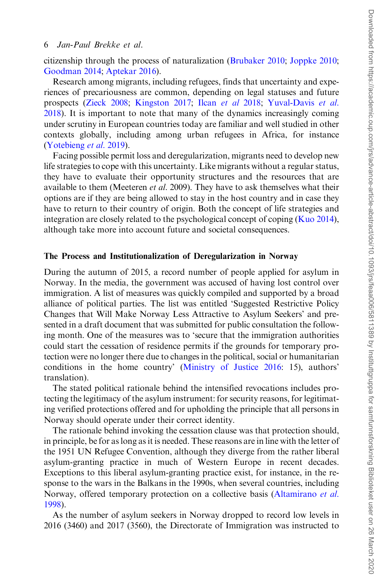citizenship through the process of naturalization ([Brubaker 2010](#page-17-0); [Joppke 2010](#page-18-0); [Goodman 2014](#page-18-0); [Aptekar 2016\)](#page-17-0).

Research among migrants, including refugees, finds that uncertainty and experiences of precariousness are common, depending on legal statuses and future prospects ([Zieck 2008;](#page-19-0) [Kingston 2017](#page-18-0); [Ilcan](#page-18-0) et al 2018; [Yuval-Davis](#page-19-0) et al. [2018\)](#page-19-0). It is important to note that many of the dynamics increasingly coming under scrutiny in European countries today are familiar and well studied in other contexts globally, including among urban refugees in Africa, for instance [\(Yotebieng](#page-19-0) et al. 2019).

Facing possible permit loss and deregularization, migrants need to develop new life strategies to cope with this uncertainty. Like migrants without a regular status, they have to evaluate their opportunity structures and the resources that are available to them (Meeteren *et al.* 2009). They have to ask themselves what their options are if they are being allowed to stay in the host country and in case they have to return to their country of origin. Both the concept of life strategies and integration are closely related to the psychological concept of coping [\(Kuo 2014\)](#page-18-0), although take more into account future and societal consequences.

#### The Process and Institutionalization of Deregularization in Norway

During the autumn of 2015, a record number of people applied for asylum in Norway. In the media, the government was accused of having lost control over immigration. A list of measures was quickly compiled and supported by a broad alliance of political parties. The list was entitled 'Suggested Restrictive Policy Changes that Will Make Norway Less Attractive to Asylum Seekers' and presented in a draft document that was submitted for public consultation the following month. One of the measures was to 'secure that the immigration authorities could start the cessation of residence permits if the grounds for temporary protection were no longer there due to changes in the political, social or humanitarian conditions in the home country' [\(Ministry of Justice 2016](#page-19-0): 15), authors' translation).

The stated political rationale behind the intensified revocations includes protecting the legitimacy of the asylum instrument: for security reasons, for legitimating verified protections offered and for upholding the principle that all persons in Norway should operate under their correct identity.

The rationale behind invoking the cessation clause was that protection should, in principle, be for as long as it is needed. These reasons are in line with the letter of the 1951 UN Refugee Convention, although they diverge from the rather liberal asylum-granting practice in much of Western Europe in recent decades. Exceptions to this liberal asylum-granting practice exist, for instance, in the response to the wars in the Balkans in the 1990s, when several countries, including Norway, offered temporary protection on a collective basis ([Altamirano](#page-16-0) *et al.*) [1998\)](#page-16-0).

As the number of asylum seekers in Norway dropped to record low levels in 2016 (3460) and 2017 (3560), the Directorate of Immigration was instructed to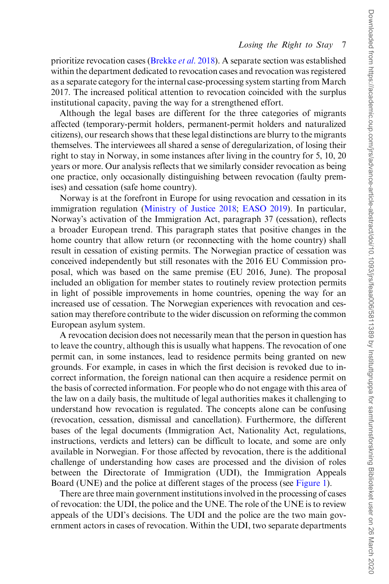prioritize revocation cases [\(Brekke](#page-17-0) et al. 2018). A separate section was established within the department dedicated to revocation cases and revocation was registered as a separate category for the internal case-processing system starting from March 2017. The increased political attention to revocation coincided with the surplus institutional capacity, paving the way for a strengthened effort.

Although the legal bases are different for the three categories of migrants affected (temporary-permit holders, permanent-permit holders and naturalized citizens), our research shows that these legal distinctions are blurry to the migrants themselves. The interviewees all shared a sense of deregularization, of losing their right to stay in Norway, in some instances after living in the country for 5, 10, 20 years or more. Our analysis reflects that we similarly consider revocation as being one practice, only occasionally distinguishing between revocation (faulty premises) and cessation (safe home country).

Norway is at the forefront in Europe for using revocation and cessation in its immigration regulation [\(Ministry of Justice 2018;](#page-19-0) [EASO 2019\)](#page-17-0). In particular, Norway's activation of the Immigration Act, paragraph 37 (cessation), reflects a broader European trend. This paragraph states that positive changes in the home country that allow return (or reconnecting with the home country) shall result in cessation of existing permits. The Norwegian practice of cessation was conceived independently but still resonates with the 2016 EU Commission proposal, which was based on the same premise (EU 2016, June). The proposal included an obligation for member states to routinely review protection permits in light of possible improvements in home countries, opening the way for an increased use of cessation. The Norwegian experiences with revocation and cessation may therefore contribute to the wider discussion on reforming the common European asylum system.

A revocation decision does not necessarily mean that the person in question has to leave the country, although this is usually what happens. The revocation of one permit can, in some instances, lead to residence permits being granted on new grounds. For example, in cases in which the first decision is revoked due to incorrect information, the foreign national can then acquire a residence permit on the basis of corrected information. For people who do not engage with this area of the law on a daily basis, the multitude of legal authorities makes it challenging to understand how revocation is regulated. The concepts alone can be confusing (revocation, cessation, dismissal and cancellation). Furthermore, the different bases of the legal documents (Immigration Act, Nationality Act, regulations, instructions, verdicts and letters) can be difficult to locate, and some are only available in Norwegian. For those affected by revocation, there is the additional challenge of understanding how cases are processed and the division of roles between the Directorate of Immigration (UDI), the Immigration Appeals Board (UNE) and the police at different stages of the process (see [Figure 1\)](#page-7-0).

There are three main government institutions involved in the processing of cases of revocation: the UDI, the police and the UNE. The role of the UNE is to review appeals of the UDI's decisions. The UDI and the police are the two main government actors in cases of revocation. Within the UDI, two separate departments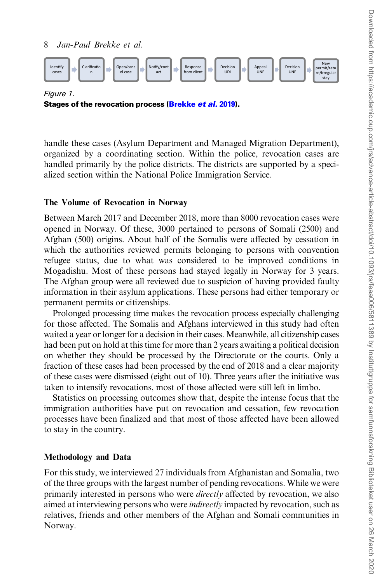<span id="page-7-0"></span>

Figure 1. Stages of the revocation process [\(Brekke](#page-17-0) et al. 2019).

handle these cases (Asylum Department and Managed Migration Department), organized by a coordinating section. Within the police, revocation cases are handled primarily by the police districts. The districts are supported by a specialized section within the National Police Immigration Service.

#### The Volume of Revocation in Norway

Between March 2017 and December 2018, more than 8000 revocation cases were opened in Norway. Of these, 3000 pertained to persons of Somali (2500) and Afghan (500) origins. About half of the Somalis were affected by cessation in which the authorities reviewed permits belonging to persons with convention refugee status, due to what was considered to be improved conditions in Mogadishu. Most of these persons had stayed legally in Norway for 3 years. The Afghan group were all reviewed due to suspicion of having provided faulty information in their asylum applications. These persons had either temporary or permanent permits or citizenships.

Prolonged processing time makes the revocation process especially challenging for those affected. The Somalis and Afghans interviewed in this study had often waited a year or longer for a decision in their cases. Meanwhile, all citizenship cases had been put on hold at this time for more than 2 years awaiting a political decision on whether they should be processed by the Directorate or the courts. Only a fraction of these cases had been processed by the end of 2018 and a clear majority of these cases were dismissed (eight out of 10). Three years after the initiative was taken to intensify revocations, most of those affected were still left in limbo.

Statistics on processing outcomes show that, despite the intense focus that the immigration authorities have put on revocation and cessation, few revocation processes have been finalized and that most of those affected have been allowed to stay in the country.

#### Methodology and Data

For this study, we interviewed 27 individuals from Afghanistan and Somalia, two of the three groups with the largest number of pending revocations. While we were primarily interested in persons who were *directly* affected by revocation, we also aimed at interviewing persons who were *indirectly* impacted by revocation, such as relatives, friends and other members of the Afghan and Somali communities in Norway.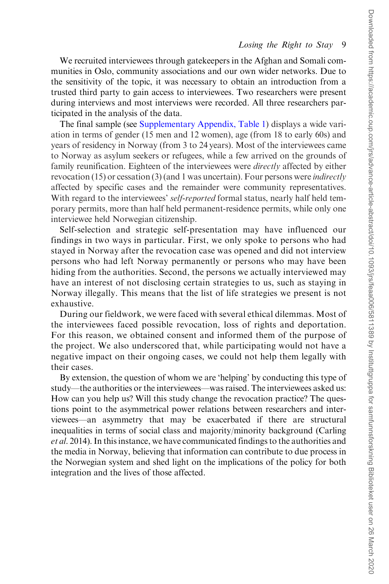We recruited interviewees through gatekeepers in the Afghan and Somali communities in Oslo, community associations and our own wider networks. Due to the sensitivity of the topic, it was necessary to obtain an introduction from a trusted third party to gain access to interviewees. Two researchers were present during interviews and most interviews were recorded. All three researchers participated in the analysis of the data.

The final sample (see [Supplementary Appendix, Table 1\)](https://academic.oup.com/jrs/article-lookup/doi/10.1093/jrs/feaa006#supplementary-data) displays a wide variation in terms of gender (15 men and 12 women), age (from 18 to early 60s) and years of residency in Norway (from 3 to 24 years). Most of the interviewees came to Norway as asylum seekers or refugees, while a few arrived on the grounds of family reunification. Eighteen of the interviewees were *directly* affected by either revocation (15) or cessation (3) (and 1 was uncertain). Four persons were indirectly affected by specific cases and the remainder were community representatives. With regard to the interviewees' *self-reported* formal status, nearly half held temporary permits, more than half held permanent-residence permits, while only one interviewee held Norwegian citizenship.

Self-selection and strategic self-presentation may have influenced our findings in two ways in particular. First, we only spoke to persons who had stayed in Norway after the revocation case was opened and did not interview persons who had left Norway permanently or persons who may have been hiding from the authorities. Second, the persons we actually interviewed may have an interest of not disclosing certain strategies to us, such as staying in Norway illegally. This means that the list of life strategies we present is not exhaustive.

During our fieldwork, we were faced with several ethical dilemmas. Most of the interviewees faced possible revocation, loss of rights and deportation. For this reason, we obtained consent and informed them of the purpose of the project. We also underscored that, while participating would not have a negative impact on their ongoing cases, we could not help them legally with their cases.

By extension, the question of whom we are 'helping' by conducting this type of study—the authorities or the interviewees—was raised. The interviewees asked us: How can you help us? Will this study change the revocation practice? The questions point to the asymmetrical power relations between researchers and interviewees—an asymmetry that may be exacerbated if there are structural inequalities in terms of social class and majority/minority background (Carling et al. 2014). In this instance, we have communicated findings to the authorities and the media in Norway, believing that information can contribute to due process in the Norwegian system and shed light on the implications of the policy for both integration and the lives of those affected.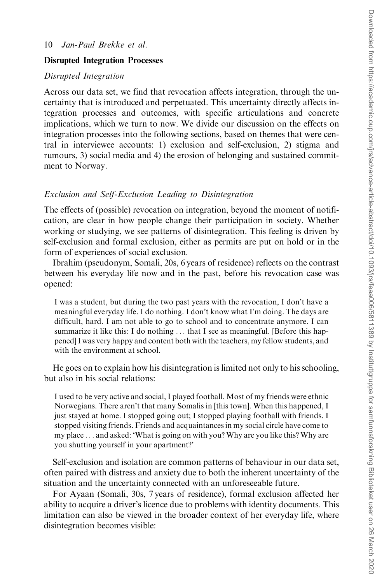#### Disrupted Integration Processes

## Disrupted Integration

Across our data set, we find that revocation affects integration, through the uncertainty that is introduced and perpetuated. This uncertainty directly affects integration processes and outcomes, with specific articulations and concrete implications, which we turn to now. We divide our discussion on the effects on integration processes into the following sections, based on themes that were central in interviewee accounts: 1) exclusion and self-exclusion, 2) stigma and rumours, 3) social media and 4) the erosion of belonging and sustained commitment to Norway.

#### Exclusion and Self-Exclusion Leading to Disintegration

The effects of (possible) revocation on integration, beyond the moment of notification, are clear in how people change their participation in society. Whether working or studying, we see patterns of disintegration. This feeling is driven by self-exclusion and formal exclusion, either as permits are put on hold or in the form of experiences of social exclusion.

Ibrahim (pseudonym, Somali, 20s, 6 years of residence) reflects on the contrast between his everyday life now and in the past, before his revocation case was opened:

I was a student, but during the two past years with the revocation, I don't have a meaningful everyday life. I do nothing. I don't know what I'm doing. The days are difficult, hard. I am not able to go to school and to concentrate anymore. I can summarize it like this: I do nothing ... that I see as meaningful. [Before this happened] I was very happy and content both with the teachers, my fellow students, and with the environment at school.

He goes on to explain how his disintegration is limited not only to his schooling, but also in his social relations:

I used to be very active and social, I played football. Most of my friends were ethnic Norwegians. There aren't that many Somalis in [this town]. When this happened, I just stayed at home. I stopped going out; I stopped playing football with friends. I stopped visiting friends. Friends and acquaintances in my social circle have come to my place ... and asked: 'What is going on with you? Why are you like this? Why are you shutting yourself in your apartment?'

Self-exclusion and isolation are common patterns of behaviour in our data set, often paired with distress and anxiety due to both the inherent uncertainty of the situation and the uncertainty connected with an unforeseeable future.

For Ayaan (Somali, 30s, 7 years of residence), formal exclusion affected her ability to acquire a driver's licence due to problems with identity documents. This limitation can also be viewed in the broader context of her everyday life, where disintegration becomes visible: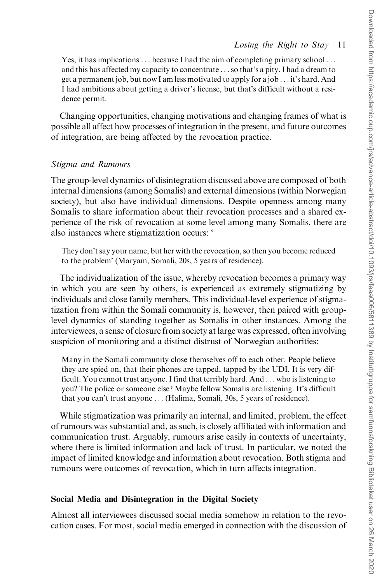Yes, it has implications ... because I had the aim of completing primary school ... and this has affected my capacity to concentrate ...so that's a pity. I had a dream to get a permanent job, but now I am less motivated to apply for a job ... it's hard. And I had ambitions about getting a driver's license, but that's difficult without a residence permit.

Changing opportunities, changing motivations and changing frames of what is possible all affect how processes of integration in the present, and future outcomes of integration, are being affected by the revocation practice.

# Stigma and Rumours

The group-level dynamics of disintegration discussed above are composed of both internal dimensions (among Somalis) and external dimensions (within Norwegian society), but also have individual dimensions. Despite openness among many Somalis to share information about their revocation processes and a shared experience of the risk of revocation at some level among many Somalis, there are also instances where stigmatization occurs: '

They don't say your name, but her with the revocation, so then you become reduced to the problem' (Maryam, Somali, 20s, 5 years of residence).

The individualization of the issue, whereby revocation becomes a primary way in which you are seen by others, is experienced as extremely stigmatizing by individuals and close family members. This individual-level experience of stigmatization from within the Somali community is, however, then paired with grouplevel dynamics of standing together as Somalis in other instances. Among the interviewees, a sense of closure from society at large was expressed, often involving suspicion of monitoring and a distinct distrust of Norwegian authorities:

Many in the Somali community close themselves off to each other. People believe they are spied on, that their phones are tapped, tapped by the UDI. It is very difficult. You cannot trust anyone. I find that terribly hard. And ... who is listening to you? The police or someone else? Maybe fellow Somalis are listening. It's difficult that you can't trust anyone ... (Halima, Somali, 30s, 5 years of residence).

While stigmatization was primarily an internal, and limited, problem, the effect of rumours was substantial and, as such, is closely affiliated with information and communication trust. Arguably, rumours arise easily in contexts of uncertainty, where there is limited information and lack of trust. In particular, we noted the impact of limited knowledge and information about revocation. Both stigma and rumours were outcomes of revocation, which in turn affects integration.

## Social Media and Disintegration in the Digital Society

Almost all interviewees discussed social media somehow in relation to the revocation cases. For most, social media emerged in connection with the discussion of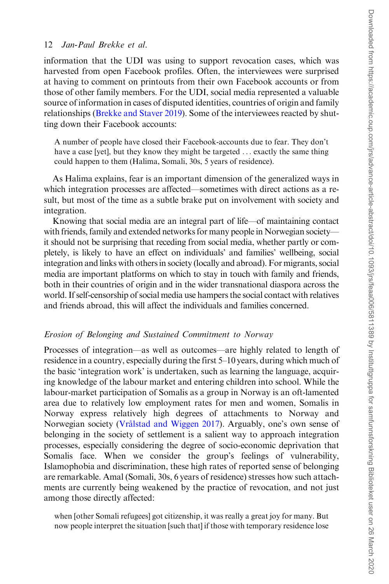information that the UDI was using to support revocation cases, which was harvested from open Facebook profiles. Often, the interviewees were surprised at having to comment on printouts from their own Facebook accounts or from those of other family members. For the UDI, social media represented a valuable source of information in cases of disputed identities, countries of origin and family relationships ([Brekke and Staver 2019](#page-17-0)). Some of the interviewees reacted by shutting down their Facebook accounts:

A number of people have closed their Facebook-accounts due to fear. They don't have a case [yet], but they know they might be targeted ... exactly the same thing could happen to them (Halima, Somali, 30s, 5 years of residence).

As Halima explains, fear is an important dimension of the generalized ways in which integration processes are affected—sometimes with direct actions as a result, but most of the time as a subtle brake put on involvement with society and integration.

Knowing that social media are an integral part of life—of maintaining contact with friends, family and extended networks for many people in Norwegian society it should not be surprising that receding from social media, whether partly or completely, is likely to have an effect on individuals' and families' wellbeing, social integration and links with others in society (locally and abroad). For migrants, social media are important platforms on which to stay in touch with family and friends, both in their countries of origin and in the wider transnational diaspora across the world. If self-censorship of social media use hampers the social contact with relatives and friends abroad, this will affect the individuals and families concerned.

# Erosion of Belonging and Sustained Commitment to Norway

Processes of integration—as well as outcomes—are highly related to length of residence in a country, especially during the first 5–10 years, during which much of the basic 'integration work' is undertaken, such as learning the language, acquiring knowledge of the labour market and entering children into school. While the labour-market participation of Somalis as a group in Norway is an oft-lamented area due to relatively low employment rates for men and women, Somalis in Norway express relatively high degrees of attachments to Norway and Norwegian society (Vrålstad and Wiggen 2017). Arguably, one's own sense of belonging in the society of settlement is a salient way to approach integration processes, especially considering the degree of socio-economic deprivation that Somalis face. When we consider the group's feelings of vulnerability, Islamophobia and discrimination, these high rates of reported sense of belonging are remarkable. Amal (Somali, 30s, 6 years of residence) stresses how such attachments are currently being weakened by the practice of revocation, and not just among those directly affected:

when [other Somali refugees] got citizenship, it was really a great joy for many. But now people interpret the situation [such that] if those with temporary residence lose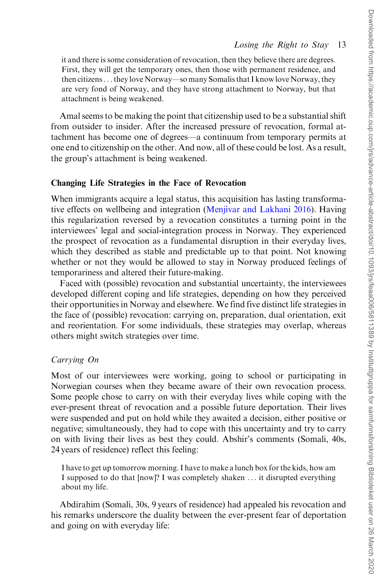it and there is some consideration of revocation, then they believe there are degrees. First, they will get the temporary ones, then those with permanent residence, and then citizens...they love Norway—so many Somalis that I know love Norway, they are very fond of Norway, and they have strong attachment to Norway, but that attachment is being weakened.

Amal seems to be making the point that citizenship used to be a substantial shift from outsider to insider. After the increased pressure of revocation, formal attachment has become one of degrees—a continuum from temporary permits at one end to citizenship on the other. And now, all of these could be lost. As a result, the group's attachment is being weakened.

# Changing Life Strategies in the Face of Revocation

When immigrants acquire a legal status, this acquisition has lasting transformative effects on wellbeing and integration (Menjivar and Lakhani 2016). Having this regularization reversed by a revocation constitutes a turning point in the interviewees' legal and social-integration process in Norway. They experienced the prospect of revocation as a fundamental disruption in their everyday lives, which they described as stable and predictable up to that point. Not knowing whether or not they would be allowed to stay in Norway produced feelings of temporariness and altered their future-making.

Faced with (possible) revocation and substantial uncertainty, the interviewees developed different coping and life strategies, depending on how they perceived their opportunities in Norway and elsewhere. We find five distinct life strategies in the face of (possible) revocation: carrying on, preparation, dual orientation, exit and reorientation. For some individuals, these strategies may overlap, whereas others might switch strategies over time.

# Carrying On

Most of our interviewees were working, going to school or participating in Norwegian courses when they became aware of their own revocation process. Some people chose to carry on with their everyday lives while coping with the ever-present threat of revocation and a possible future deportation. Their lives were suspended and put on hold while they awaited a decision, either positive or negative; simultaneously, they had to cope with this uncertainty and try to carry on with living their lives as best they could. Abshir's comments (Somali, 40s, 24 years of residence) reflect this feeling:

I have to get up tomorrow morning. I have to make a lunch box for the kids, how am I supposed to do that [now]? I was completely shaken ... it disrupted everything about my life.

Abdirahim (Somali, 30s, 9 years of residence) had appealed his revocation and his remarks underscore the duality between the ever-present fear of deportation and going on with everyday life: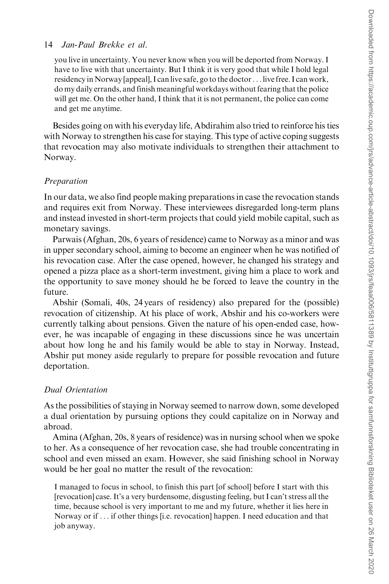you live in uncertainty. You never know when you will be deported from Norway. I have to live with that uncertainty. But I think it is very good that while I hold legal residency in Norway [appeal], I can live safe, go to the doctor... live free. I can work, do my daily errands, and finish meaningful workdays without fearing that the police will get me. On the other hand, I think that it is not permanent, the police can come and get me anytime.

Besides going on with his everyday life, Abdirahim also tried to reinforce his ties with Norway to strengthen his case for staying. This type of active coping suggests that revocation may also motivate individuals to strengthen their attachment to Norway.

## Preparation

In our data, we also find people making preparations in case the revocation stands and requires exit from Norway. These interviewees disregarded long-term plans and instead invested in short-term projects that could yield mobile capital, such as monetary savings.

Parwais (Afghan, 20s, 6 years of residence) came to Norway as a minor and was in upper secondary school, aiming to become an engineer when he was notified of his revocation case. After the case opened, however, he changed his strategy and opened a pizza place as a short-term investment, giving him a place to work and the opportunity to save money should he be forced to leave the country in the future.

Abshir (Somali, 40s, 24 years of residency) also prepared for the (possible) revocation of citizenship. At his place of work, Abshir and his co-workers were currently talking about pensions. Given the nature of his open-ended case, however, he was incapable of engaging in these discussions since he was uncertain about how long he and his family would be able to stay in Norway. Instead, Abshir put money aside regularly to prepare for possible revocation and future deportation.

## Dual Orientation

As the possibilities of staying in Norway seemed to narrow down, some developed a dual orientation by pursuing options they could capitalize on in Norway and abroad.

Amina (Afghan, 20s, 8 years of residence) was in nursing school when we spoke to her. As a consequence of her revocation case, she had trouble concentrating in school and even missed an exam. However, she said finishing school in Norway would be her goal no matter the result of the revocation:

I managed to focus in school, to finish this part [of school] before I start with this [revocation] case. It's a very burdensome, disgusting feeling, but I can't stress all the time, because school is very important to me and my future, whether it lies here in Norway or if ... if other things [i.e. revocation] happen. I need education and that job anyway.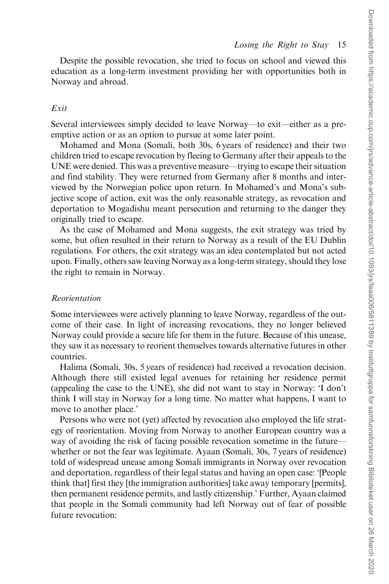Despite the possible revocation, she tried to focus on school and viewed this education as a long-term investment providing her with opportunities both in Norway and abroad.

## Exit

Several interviewees simply decided to leave Norway—to exit—either as a preemptive action or as an option to pursue at some later point.

Mohamed and Mona (Somali, both 30s, 6 years of residence) and their two children tried to escape revocation by fleeing to Germany after their appeals to the UNE were denied. This was a preventive measure—trying to escape their situation and find stability. They were returned from Germany after 8 months and interviewed by the Norwegian police upon return. In Mohamed's and Mona's subjective scope of action, exit was the only reasonable strategy, as revocation and deportation to Mogadishu meant persecution and returning to the danger they originally tried to escape.

As the case of Mohamed and Mona suggests, the exit strategy was tried by some, but often resulted in their return to Norway as a result of the EU Dublin regulations. For others, the exit strategy was an idea contemplated but not acted upon. Finally, others saw leaving Norway as a long-term strategy, should they lose the right to remain in Norway.

## Reorientation

Some interviewees were actively planning to leave Norway, regardless of the outcome of their case. In light of increasing revocations, they no longer believed Norway could provide a secure life for them in the future. Because of this unease, they saw it as necessary to reorient themselves towards alternative futures in other countries.

Halima (Somali, 30s, 5 years of residence) had received a revocation decision. Although there still existed legal avenues for retaining her residence permit (appealing the case to the UNE), she did not want to stay in Norway: 'I don't think I will stay in Norway for a long time. No matter what happens, I want to move to another place.'

Persons who were not (yet) affected by revocation also employed the life strategy of reorientation. Moving from Norway to another European country was a way of avoiding the risk of facing possible revocation sometime in the future whether or not the fear was legitimate. Ayaan (Somali, 30s, 7 years of residence) told of widespread unease among Somali immigrants in Norway over revocation and deportation, regardless of their legal status and having an open case: '[People think that] first they [the immigration authorities] take away temporary [permits], then permanent residence permits, and lastly citizenship.' Further, Ayaan claimed that people in the Somali community had left Norway out of fear of possible future revocation: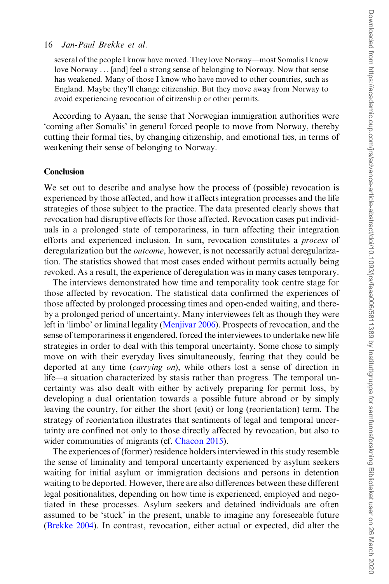several of the people I know have moved. They love Norway—most Somalis I know love Norway ... [and] feel a strong sense of belonging to Norway. Now that sense has weakened. Many of those I know who have moved to other countries, such as England. Maybe they'll change citizenship. But they move away from Norway to avoid experiencing revocation of citizenship or other permits.

According to Ayaan, the sense that Norwegian immigration authorities were 'coming after Somalis' in general forced people to move from Norway, thereby cutting their formal ties, by changing citizenship, and emotional ties, in terms of weakening their sense of belonging to Norway.

# **Conclusion**

We set out to describe and analyse how the process of (possible) revocation is experienced by those affected, and how it affects integration processes and the life strategies of those subject to the practice. The data presented clearly shows that revocation had disruptive effects for those affected. Revocation cases put individuals in a prolonged state of temporariness, in turn affecting their integration efforts and experienced inclusion. In sum, revocation constitutes a process of deregularization but the *outcome*, however, is not necessarily actual deregularization. The statistics showed that most cases ended without permits actually being revoked. As a result, the experience of deregulation was in many cases temporary.

The interviews demonstrated how time and temporality took centre stage for those affected by revocation. The statistical data confirmed the experiences of those affected by prolonged processing times and open-ended waiting, and thereby a prolonged period of uncertainty. Many interviewees felt as though they were left in 'limbo' or liminal legality [\(Menjivar 2006](#page-18-0)). Prospects of revocation, and the sense of temporariness it engendered, forced the interviewees to undertake new life strategies in order to deal with this temporal uncertainty. Some chose to simply move on with their everyday lives simultaneously, fearing that they could be deported at any time *(carrying on)*, while others lost a sense of direction in life—a situation characterized by stasis rather than progress. The temporal uncertainty was also dealt with either by actively preparing for permit loss, by developing a dual orientation towards a possible future abroad or by simply leaving the country, for either the short (exit) or long (reorientation) term. The strategy of reorientation illustrates that sentiments of legal and temporal uncertainty are confined not only to those directly affected by revocation, but also to wider communities of migrants (cf. [Chacon 2015](#page-17-0)).

The experiences of (former) residence holders interviewed in this study resemble the sense of liminality and temporal uncertainty experienced by asylum seekers waiting for initial asylum or immigration decisions and persons in detention waiting to be deported. However, there are also differences between these different legal positionalities, depending on how time is experienced, employed and negotiated in these processes. Asylum seekers and detained individuals are often assumed to be 'stuck' in the present, unable to imagine any foreseeable future [\(Brekke 2004](#page-17-0)). In contrast, revocation, either actual or expected, did alter the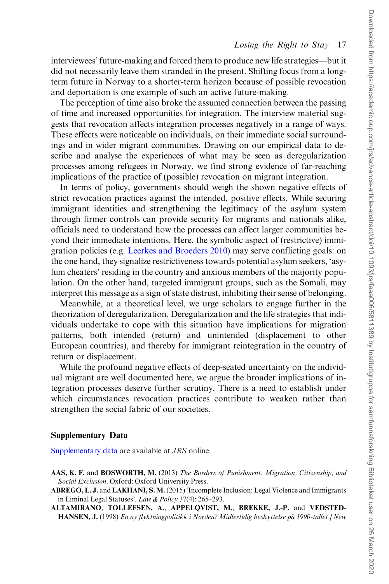<span id="page-16-0"></span>interviewees' future-making and forced them to produce new life strategies—but it did not necessarily leave them stranded in the present. Shifting focus from a longterm future in Norway to a shorter-term horizon because of possible revocation and deportation is one example of such an active future-making.

The perception of time also broke the assumed connection between the passing of time and increased opportunities for integration. The interview material suggests that revocation affects integration processes negatively in a range of ways. These effects were noticeable on individuals, on their immediate social surroundings and in wider migrant communities. Drawing on our empirical data to describe and analyse the experiences of what may be seen as deregularization processes among refugees in Norway, we find strong evidence of far-reaching implications of the practice of (possible) revocation on migrant integration.

In terms of policy, governments should weigh the shown negative effects of strict revocation practices against the intended, positive effects. While securing immigrant identities and strengthening the legitimacy of the asylum system through firmer controls can provide security for migrants and nationals alike, officials need to understand how the processes can affect larger communities beyond their immediate intentions. Here, the symbolic aspect of (restrictive) immigration policies (e.g. [Leerkes and Broeders 2010\)](#page-18-0) may serve conflicting goals: on the one hand, they signalize restrictiveness towards potential asylum seekers, 'asylum cheaters' residing in the country and anxious members of the majority population. On the other hand, targeted immigrant groups, such as the Somali, may interpret this message as a sign of state distrust, inhibiting their sense of belonging.

Meanwhile, at a theoretical level, we urge scholars to engage further in the theorization of deregularization. Deregularization and the life strategies that individuals undertake to cope with this situation have implications for migration patterns, both intended (return) and unintended (displacement to other European countries), and thereby for immigrant reintegration in the country of return or displacement.

While the profound negative effects of deep-seated uncertainty on the individual migrant are well documented here, we argue the broader implications of integration processes deserve further scrutiny. There is a need to establish under which circumstances revocation practices contribute to weaken rather than strengthen the social fabric of our societies.

## Supplementary Data

[Supplementary data](https://academic.oup.com/jrs/article-lookup/doi/10.1093/jrs/feaa006#supplementary-data) are available at JRS online.

AAS, K. F. and BOSWORTH, M. (2013) The Borders of Punishment: Migration, Citizenship, and Social Exclusion. Oxford: Oxford University Press.

ABREGO, L. J. and LAKHANI, S. M. (2015) 'Incomplete Inclusion: Legal Violence and Immigrants in Liminal Legal Statuses'. Law & Policy 37(4): 265–293.

ALTAMIRANO, TOLLEFSEN, A., APPELQVIST, M., BREKKE, J.-P. and VEDSTED-HANSEN, J. (1998) En ny flyktningpolitikk i Norden? Midlertidig beskyttelse på 1990-tallet [New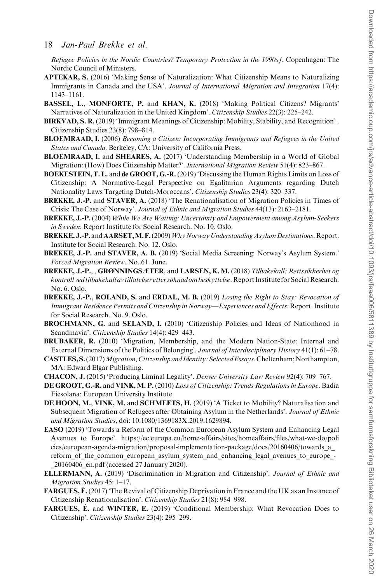<span id="page-17-0"></span>Refugee Policies in the Nordic Countries? Temporary Protection in the 1990s]. Copenhagen: The Nordic Council of Ministers.

- APTEKAR, S. (2016) 'Making Sense of Naturalization: What Citizenship Means to Naturalizing Immigrants in Canada and the USA'. Journal of International Migration and Integration 17(4): 1143–1161.
- BASSEL, L., MONFORTE, P. and KHAN, K. (2018) 'Making Political Citizens? Migrants' Narratives of Naturalization in the United Kingdom'. Citizenship Studies 22(3): 225–242.
- BIRKVAD, S. R. (2019) 'Immigrant Meanings of Citizenship: Mobility, Stability, and Recognition' . Citizenship Studies 23(8): 798–814.
- BLOEMRAAD, I. (2006) Becoming a Citizen: Incorporating Immigrants and Refugees in the United States and Canada. Berkeley, CA: University of California Press.
- BLOEMRAAD, I. and SHEARES, A. (2017) 'Understanding Membership in a World of Global Migration: (How) Does Citizenship Matter?'. International Migration Review 51(4): 823–867.
- BOEKESTEIN, T. L. and de GROOT, G.-R. (2019) 'Discussing the Human Rights Limits on Loss of Citizenship: A Normative-Legal Perspective on Egalitarian Arguments regarding Dutch Nationality Laws Targeting Dutch-Moroccans'. Citizenship Studies 23(4): 320–337.
- BREKKE, J.-P. and STAVER, A. (2018) 'The Renationalisation of Migration Policies in Times of Crisis: The Case of Norway'. Journal of Ethnic and Migration Studies 44(13): 2163–2181.
- BREKKE, J.-P. (2004) While We Are Waiting: Uncertainty and Empowerment among Asylum-Seekers in Sweden. Report Institute for Social Research. No. 10. Oslo.
- BREKKE, J.-P. and AARSET, M. F. (2009) Why Norway Understanding Asylum Destinations. Report. Institute for Social Research. No. 12. Oslo.
- BREKKE, J.-P. and STAVER, A. B. (2019) 'Social Media Screening: Norway's Asylum System.' Forced Migration Review. No. 61. June.
- BREKKE, J.-P., , GRØNNINGSÆTER, and LARSEN, K. M. (2018) Tilbakekall: Rettssikkerhet og kontroll ved tilbakekall av tillatelser etter søknad om beskyttelse. Report Institute for Social Research. No. 6. Oslo.
- BREKKE, J.-P., ROLAND, S. and ERDAL, M. B. (2019) Losing the Right to Stay: Revocation of Immigrant Residence Permits and Citizenship in Norway—Experiences and Effects. Report. Institute for Social Research. No. 9. Oslo.
- BROCHMANN, G. and SELAND, I. (2010) 'Citizenship Policies and Ideas of Nationhood in Scandinavia'. Citizenship Studies 14(4): 429–443.
- BRUBAKER, R. (2010) 'Migration, Membership, and the Modern Nation-State: Internal and External Dimensions of the Politics of Belonging'. Journal of Interdisciplinary History 41(1): 61–78.
- CASTLES, S. (2017) Migration, Citizenship and Identity: Selected Essays. Cheltenham; Northampton, MA: Edward Elgar Publishing.
- CHACON, J. (2015) 'Producing Liminal Legality'. Denver University Law Review 92(4): 709–767.
- DE GROOT, G.-R. and VINK, M. P. (2010) Loss of Citizenship: Trends Regulations in Europe. Badia Fiesolana: European University Institute.
- DE HOON, M., VINK, M. and SCHMEETS, H. (2019) 'A Ticket to Mobility? Naturalisation and Subsequent Migration of Refugees after Obtaining Asylum in the Netherlands'. Journal of Ethnic and Migration Studies, doi: 10.1080/1369183X.2019.1629894.
- EASO (2019) 'Towards a Reform of the Common European Asylum System and Enhancing Legal Avenues to Europe'. https://ec.europa.eu/home-affairs/sites/homeaffairs/files/what-we-do/poli cies/european-agenda-migration/proposal-implementation-package/docs/20160406/towards\_a\_ reform of the common european asylum system and enhancing legal avenues to europe -\_20160406\_en.pdf (accessed 27 January 2020).
- ELLERMANN, A. (2019) 'Discrimination in Migration and Citizenship'. Journal of Ethnic and Migration Studies 45: 1–17.
- FARGUES, É. (2017) 'The Revival of Citizenship Deprivation in France and the UK as an Instance of Citizenship Renationalisation'. Citizenship Studies 21(8): 984–998.
- FARGUES, E. and WINTER, E. (2019) 'Conditional Membership: What Revocation Does to Citizenship'. Citizenship Studies 23(4): 295–299.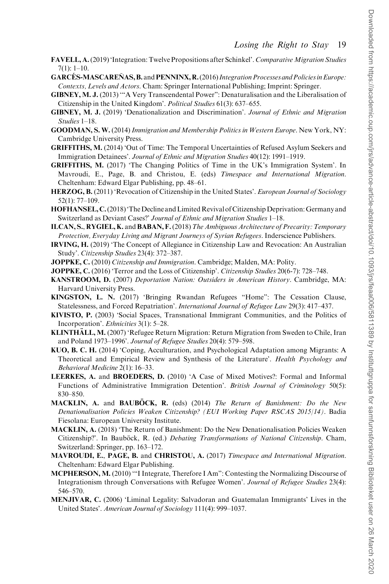- <span id="page-18-0"></span>FAVELL, A. (2019) 'Integration: Twelve Propositions after Schinkel'. Comparative Migration Studies  $7(1)$ : 1–10.
- GARCES-MASCAREÑAS, B. and PENNINX, R. (2016) Integration Processes and Policies in Europe: Contexts, Levels and Actors. Cham: Springer International Publishing; Imprint: Springer.
- GIBNEY, M. J. (2013) '"A Very Transcendental Power": Denaturalisation and the Liberalisation of Citizenship in the United Kingdom'. Political Studies 61(3): 637–655.
- GIBNEY, M. J. (2019) 'Denationalization and Discrimination'. Journal of Ethnic and Migration Studies 1–18.
- GOODMAN, S. W. (2014) Immigration and Membership Politics in Western Europe. New York, NY: Cambridge University Press.
- GRIFFITHS, M. (2014) 'Out of Time: The Temporal Uncertainties of Refused Asylum Seekers and Immigration Detainees'. Journal of Ethnic and Migration Studies 40(12): 1991–1919.
- GRIFFITHS, M. (2017) 'The Changing Politics of Time in the UK's Immigration System'. In Mavroudi, E., Page, B. and Christou, E. (eds) Timespace and International Migration. Cheltenham: Edward Elgar Publishing, pp. 48–61.
- HERZOG, B. (2011) 'Revocation of Citizenship in the United States'. European Journal of Sociology 52(1): 77–109.
- HOFHANSEL, C. (2018) 'The Decline and Limited Revival of Citizenship Deprivation: Germany and Switzerland as Deviant Cases?' Journal of Ethnic and Migration Studies 1-18.
- ILCAN, S., RYGIEL, K. and BABAN, F. (2018) The Ambiguous Architecture of Precarity: Temporary Protection, Everyday Living and Migrant Journeys of Syrian Refugees. Inderscience Publishers.
- IRVING, H. (2019) 'The Concept of Allegiance in Citizenship Law and Revocation: An Australian Study'. Citizenship Studies 23(4): 372–387.
- JOPPKE, C. (2010) Citizenship and Immigration. Cambridge; Malden, MA: Polity.
- JOPPKE, C. (2016) 'Terror and the Loss of Citizenship'. Citizenship Studies 20(6-7): 728–748.
- KANSTROOM, D. (2007) Deportation Nation: Outsiders in American History. Cambridge, MA: Harvard University Press.
- KINGSTON, L. N. (2017) 'Bringing Rwandan Refugees "Home": The Cessation Clause, Statelessness, and Forced Repatriation'. International Journal of Refugee Law 29(3): 417-437.
- KIVISTO, P. (2003) 'Social Spaces, Transnational Immigrant Communities, and the Politics of Incorporation'. Ethnicities 3(1): 5–28.
- KLINTHALL, M. (2007) 'Refugee Return Migration: Return Migration from Sweden to Chile, Iran and Poland 1973–1996'. Journal of Refugee Studies 20(4): 579–598.
- KUO, B. C. H. (2014) 'Coping, Acculturation, and Psychological Adaptation among Migrants: A Theoretical and Empirical Review and Synthesis of the Literature'. Health Psychology and Behavioral Medicine 2(1): 16–33.
- LEERKES, A. and BROEDERS, D. (2010) 'A Case of Mixed Motives?: Formal and Informal Functions of Administrative Immigration Detention'. British Journal of Criminology 50(5): 830–850.
- MACKLIN, A. and BAUBÖCK, R. (eds) (2014) The Return of Banishment: Do the New Denationalisation Policies Weaken Citizenship? (EUI Working Paper RSCAS 2015/14). Badia Fiesolana: European University Institute.
- MACKLIN, A. (2018) 'The Return of Banishment: Do the New Denationalisation Policies Weaken Citizenship?'. In Bauböck, R. (ed.) Debating Transformations of National Citizenship. Cham, Switzerland: Springer, pp. 163–172.
- MAVROUDI, E., PAGE, B. and CHRISTOU, A. (2017) Timespace and International Migration. Cheltenham: Edward Elgar Publishing.
- MCPHERSON, M. (2010) '"I Integrate, Therefore I Am": Contesting the Normalizing Discourse of Integrationism through Conversations with Refugee Women'. Journal of Refugee Studies 23(4): 546–570.
- MENJIVAR, C. (2006) 'Liminal Legality: Salvadoran and Guatemalan Immigrants' Lives in the United States'. American Journal of Sociology 111(4): 999–1037.